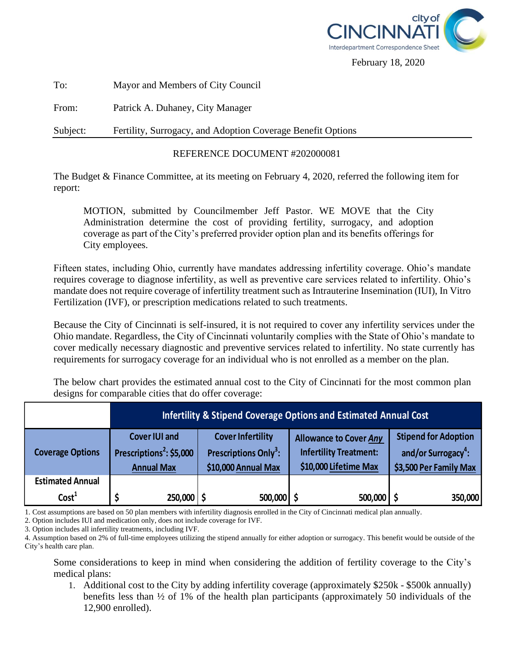

February 18, 2020

To: Mayor and Members of City Council

From: Patrick A. Duhaney, City Manager

Subject: Fertility, Surrogacy, and Adoption Coverage Benefit Options

## REFERENCE DOCUMENT #202000081

The Budget & Finance Committee, at its meeting on February 4, 2020, referred the following item for report:

MOTION, submitted by Councilmember Jeff Pastor. WE MOVE that the City Administration determine the cost of providing fertility, surrogacy, and adoption coverage as part of the City's preferred provider option plan and its benefits offerings for City employees.

Fifteen states, including Ohio, currently have mandates addressing infertility coverage. Ohio's mandate requires coverage to diagnose infertility, as well as preventive care services related to infertility. Ohio's mandate does not require coverage of infertility treatment such as Intrauterine Insemination (IUI), In Vitro Fertilization (IVF), or prescription medications related to such treatments.

Because the City of Cincinnati is self-insured, it is not required to cover any infertility services under the Ohio mandate. Regardless, the City of Cincinnati voluntarily complies with the State of Ohio's mandate to cover medically necessary diagnostic and preventive services related to infertility. No state currently has requirements for surrogacy coverage for an individual who is not enrolled as a member on the plan.

The below chart provides the estimated annual cost to the City of Cincinnati for the most common plan designs for comparable cities that do offer coverage:

|  |                         | <b>Infertility &amp; Stipend Coverage Options and Estimated Annual Cost</b>       |                                                                                      |                                                                                         |                                                                                          |
|--|-------------------------|-----------------------------------------------------------------------------------|--------------------------------------------------------------------------------------|-----------------------------------------------------------------------------------------|------------------------------------------------------------------------------------------|
|  | <b>Coverage Options</b> | <b>Cover IUI and</b><br>Prescriptions <sup>2</sup> : \$5,000<br><b>Annual Max</b> | <b>Cover Infertility</b><br>Prescriptions Only <sup>3</sup> :<br>\$10,000 Annual Max | <b>Allowance to Cover Any</b><br><b>Infertility Treatment:</b><br>\$10,000 Lifetime Max | <b>Stipend for Adoption</b><br>and/or Surrogacy <sup>4</sup> :<br>\$3,500 Per Family Max |
|  | <b>Estimated Annual</b> |                                                                                   |                                                                                      |                                                                                         |                                                                                          |
|  | Cost <sup>1</sup>       | 250,000                                                                           | 500,000 \$                                                                           | 500,000                                                                                 | 350,000                                                                                  |

1. Cost assumptions are based on 50 plan members with infertility diagnosis enrolled in the City of Cincinnati medical plan annually.

2. Option includes IUI and medication only, does not include coverage for IVF.

3. Option includes all infertility treatments, including IVF.

4. Assumption based on 2% of full-time employees utilizing the stipend annually for either adoption or surrogacy. This benefit would be outside of the City's health care plan.

Some considerations to keep in mind when considering the addition of fertility coverage to the City's medical plans:

1. Additional cost to the City by adding infertility coverage (approximately \$250k - \$500k annually) benefits less than ½ of 1% of the health plan participants (approximately 50 individuals of the 12,900 enrolled).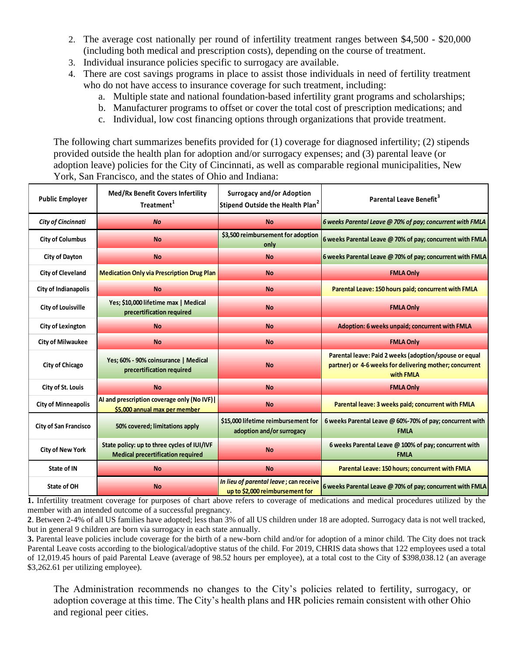- 2. The average cost nationally per round of infertility treatment ranges between \$4,500 \$20,000 (including both medical and prescription costs), depending on the course of treatment.
- 3. Individual insurance policies specific to surrogacy are available.
- 4. There are cost savings programs in place to assist those individuals in need of fertility treatment who do not have access to insurance coverage for such treatment, including:
	- a. Multiple state and national foundation-based infertility grant programs and scholarships;
	- b. Manufacturer programs to offset or cover the total cost of prescription medications; and
	- c. Individual, low cost financing options through organizations that provide treatment.

The following chart summarizes benefits provided for (1) coverage for diagnosed infertility; (2) stipends provided outside the health plan for adoption and/or surrogacy expenses; and (3) parental leave (or adoption leave) policies for the City of Cincinnati, as well as comparable regional municipalities, New York, San Francisco, and the states of Ohio and Indiana:

| adoption leave) policies for the City of Chicinnati, as well as comparable regional municipalities, New<br>York, San Francisco, and the states of Ohio and Indiana: |                                                                                         |                                                                                  |                                                                                                                                |  |  |  |
|---------------------------------------------------------------------------------------------------------------------------------------------------------------------|-----------------------------------------------------------------------------------------|----------------------------------------------------------------------------------|--------------------------------------------------------------------------------------------------------------------------------|--|--|--|
| <b>Public Employer</b>                                                                                                                                              | <b>Med/Rx Benefit Covers Infertility</b><br>Treatment <sup>1</sup>                      | <b>Surrogacy and/or Adoption</b><br>Stipend Outside the Health Plan <sup>2</sup> | Parental Leave Benefit <sup>3</sup>                                                                                            |  |  |  |
| <b>City of Cincinnati</b>                                                                                                                                           | <b>No</b>                                                                               | <b>No</b>                                                                        | 6 weeks Parental Leave @ 70% of pay; concurrent with FMLA                                                                      |  |  |  |
| <b>City of Columbus</b>                                                                                                                                             | <b>No</b>                                                                               | \$3,500 reimbursement for adoption<br>only                                       | 6 weeks Parental Leave @ 70% of pay; concurrent with FMLA                                                                      |  |  |  |
| <b>City of Dayton</b>                                                                                                                                               | <b>No</b>                                                                               | <b>No</b>                                                                        | 6 weeks Parental Leave @ 70% of pay; concurrent with FMLA                                                                      |  |  |  |
| <b>City of Cleveland</b>                                                                                                                                            | <b>Medication Only via Prescription Drug Plan</b>                                       | <b>No</b>                                                                        | <b>FMLA Only</b>                                                                                                               |  |  |  |
| <b>City of Indianapolis</b>                                                                                                                                         | <b>No</b>                                                                               | <b>No</b>                                                                        | Parental Leave: 150 hours paid; concurrent with FMLA                                                                           |  |  |  |
| <b>City of Louisville</b>                                                                                                                                           | Yes; \$10,000 lifetime max   Medical<br>precertification required                       | <b>No</b>                                                                        | <b>FMLA Only</b>                                                                                                               |  |  |  |
| <b>City of Lexington</b>                                                                                                                                            | <b>No</b>                                                                               | <b>No</b>                                                                        | Adoption: 6 weeks unpaid; concurrent with FMLA                                                                                 |  |  |  |
| <b>City of Milwaukee</b>                                                                                                                                            | <b>No</b>                                                                               | <b>No</b>                                                                        | <b>FMLA Only</b>                                                                                                               |  |  |  |
| <b>City of Chicago</b>                                                                                                                                              | Yes; 60% - 90% coinsurance   Medical<br>precertification required                       | <b>No</b>                                                                        | Parental leave: Paid 2 weeks (adoption/spouse or equal<br>partner) or 4-6 weeks for delivering mother; concurrent<br>with FMLA |  |  |  |
| City of St. Louis                                                                                                                                                   | <b>No</b>                                                                               | <b>No</b>                                                                        | <b>FMLA Only</b>                                                                                                               |  |  |  |
| <b>City of Minneapolis</b>                                                                                                                                          | Al and prescription coverage only (No IVF)<br>\$5,000 annual max per member             | <b>No</b>                                                                        | Parental leave: 3 weeks paid; concurrent with FMLA                                                                             |  |  |  |
| <b>City of San Francisco</b>                                                                                                                                        | 50% covered; limitations apply                                                          | \$15,000 lifetime reimbursement for<br>adoption and/or surrogacy                 | 6 weeks Parental Leave @ 60%-70% of pay; concurrent with<br><b>FMLA</b>                                                        |  |  |  |
| <b>City of New York</b>                                                                                                                                             | State policy: up to three cycles of IUI/IVF<br><b>Medical precertification required</b> | <b>No</b>                                                                        | 6 weeks Parental Leave @ 100% of pay; concurrent with<br><b>FMLA</b>                                                           |  |  |  |
| State of IN                                                                                                                                                         | <b>No</b>                                                                               | <b>No</b>                                                                        | Parental Leave: 150 hours; concurrent with FMLA                                                                                |  |  |  |
| State of OH                                                                                                                                                         | <b>No</b>                                                                               | In lieu of parental leave; can receive<br>up to \$2,000 reimbursement for        | 6 weeks Parental Leave @ 70% of pay; concurrent with FMLA                                                                      |  |  |  |

**1.** Infertility treatment coverage for purposes of chart above refers to coverage of medications and medical procedures utilized by the member with an intended outcome of a successful pregnancy.

**2**. Between 2-4% of all US families have adopted; less than 3% of all US children under 18 are adopted. Surrogacy data is not well tracked, but in general 9 children are born via surrogacy in each state annually.

**3.** Parental leave policies include coverage for the birth of a new-born child and/or for adoption of a minor child. The City does not track Parental Leave costs according to the biological/adoptive status of the child. For 2019, CHRIS data shows that 122 employees used a total of 12,019.45 hours of paid Parental Leave (average of 98.52 hours per employee), at a total cost to the City of \$398,038.12 (an average \$3,262.61 per utilizing employee).

The Administration recommends no changes to the City's policies related to fertility, surrogacy, or adoption coverage at this time. The City's health plans and HR policies remain consistent with other Ohio and regional peer cities.